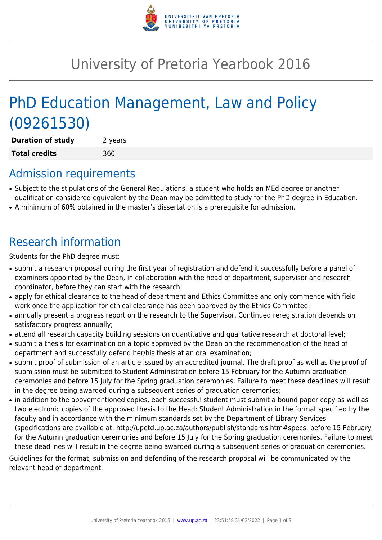

# University of Pretoria Yearbook 2016

# PhD Education Management, Law and Policy (09261530)

**Duration of study** 2 years **Total credits** 360

## Admission requirements

- Subject to the stipulations of the General Regulations, a student who holds an MEd degree or another qualification considered equivalent by the Dean may be admitted to study for the PhD degree in Education.
- A minimum of 60% obtained in the master's dissertation is a prerequisite for admission.

## Research information

Students for the PhD degree must:

- submit a research proposal during the first year of registration and defend it successfully before a panel of examiners appointed by the Dean, in collaboration with the head of department, supervisor and research coordinator, before they can start with the research;
- apply for ethical clearance to the head of department and Ethics Committee and only commence with field work once the application for ethical clearance has been approved by the Ethics Committee;
- annually present a progress report on the research to the Supervisor. Continued reregistration depends on satisfactory progress annually;
- attend all research capacity building sessions on quantitative and qualitative research at doctoral level;
- submit a thesis for examination on a topic approved by the Dean on the recommendation of the head of department and successfully defend her/his thesis at an oral examination;
- submit proof of submission of an article issued by an accredited journal. The draft proof as well as the proof of submission must be submitted to Student Administration before 15 February for the Autumn graduation ceremonies and before 15 July for the Spring graduation ceremonies. Failure to meet these deadlines will result in the degree being awarded during a subsequent series of graduation ceremonies;
- in addition to the abovementioned copies, each successful student must submit a bound paper copy as well as two electronic copies of the approved thesis to the Head: Student Administration in the format specified by the faculty and in accordance with the minimum standards set by the Department of Library Services (specifications are available at: http://upetd.up.ac.za/authors/publish/standards.htm#specs, before 15 February for the Autumn graduation ceremonies and before 15 July for the Spring graduation ceremonies. Failure to meet these deadlines will result in the degree being awarded during a subsequent series of graduation ceremonies.

Guidelines for the format, submission and defending of the research proposal will be communicated by the relevant head of department.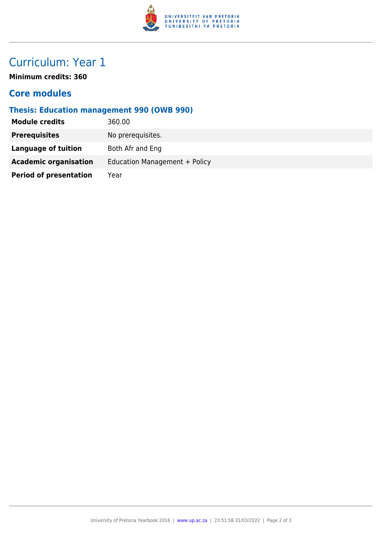

## Curriculum: Year 1

**Minimum credits: 360**

### **Core modules**

#### **Thesis: Education management 990 (OWB 990)**

| <b>Module credits</b>         | 360.00                        |
|-------------------------------|-------------------------------|
| <b>Prerequisites</b>          | No prerequisites.             |
| Language of tuition           | Both Afr and Eng              |
| <b>Academic organisation</b>  | Education Management + Policy |
| <b>Period of presentation</b> | Year                          |